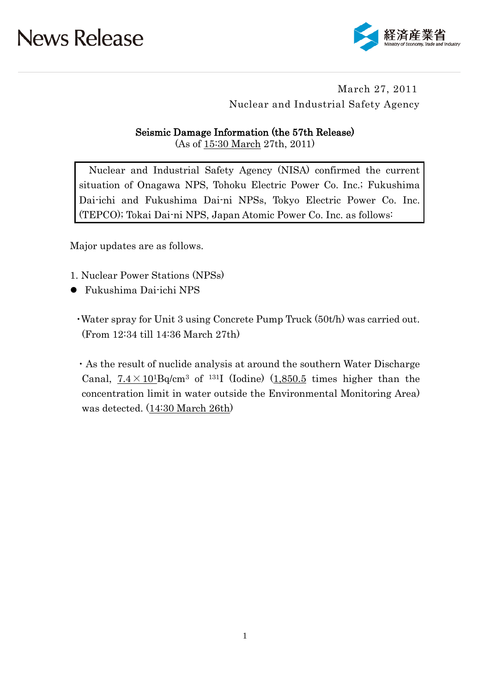

### March 27, 2011 Nuclear and Industrial Safety Agency

#### Seismic Damage Information (the 57th Release)

(As of 15:30 March 27th, 2011)

Nuclear and Industrial Safety Agency (NISA) confirmed the current situation of Onagawa NPS, Tohoku Electric Power Co. Inc.; Fukushima Dai-ichi and Fukushima Dai-ni NPSs, Tokyo Electric Power Co. Inc. (TEPCO); Tokai Dai-ni NPS, Japan Atomic Power Co. Inc. as follows:

Major updates are as follows.

- 1. Nuclear Power Stations (NPSs)
- Fukushima Dai-ichi NPS
	- ・Water spray for Unit 3 using Concrete Pump Truck (50t/h) was carried out. (From 12:34 till 14:36 March 27th)
	- ・As the result of nuclide analysis at around the southern Water Discharge Canal,  $7.4 \times 10^{1}$ Bq/cm<sup>3</sup> of <sup>131</sup>I (Iodine) (1,850.5 times higher than the concentration limit in water outside the Environmental Monitoring Area) was detected. (14:30 March 26th)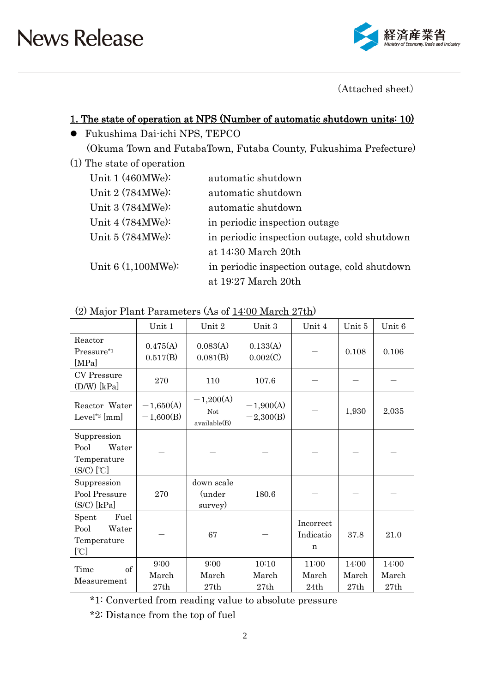

(Attached sheet)

### 1. The state of operation at NPS (Number of automatic shutdown units: 10)

- Fukushima Dai-ichi NPS, TEPCO (Okuma Town and FutabaTown, Futaba County, Fukushima Prefecture)
- (1) The state of operation

| Unit $1(460MWe):$    | automatic shutdown                           |
|----------------------|----------------------------------------------|
| Unit 2 (784MWe):     | automatic shutdown                           |
| Unit 3 (784MWe):     | automatic shutdown                           |
| Unit 4 (784MWe):     | in periodic inspection outage                |
| Unit $5(784MWe)$ :   | in periodic inspection outage, cold shutdown |
|                      | at 14:30 March 20th                          |
| Unit $6(1,100MWe)$ : | in periodic inspection outage, cold shutdown |
|                      | at 19:27 March 20th                          |

| (2) Major Plant Parameters (As of 14:00 March 27th) |  |
|-----------------------------------------------------|--|
|-----------------------------------------------------|--|

|                                                               | Unit 1                     | Unit 2                             | Unit 3                     | Unit 4                             | Unit 5                 | Unit 6                 |
|---------------------------------------------------------------|----------------------------|------------------------------------|----------------------------|------------------------------------|------------------------|------------------------|
| Reactor<br>Pressure*1<br>[MPa]                                | 0.475(A)<br>0.517(B)       | 0.083(A)<br>0.081(B)               | 0.133(A)<br>0.002(C)       |                                    | 0.108                  | 0.106                  |
| <b>CV</b> Pressure<br>$(D/W)$ [kPa]                           | 270                        | 110                                | 107.6                      |                                    |                        |                        |
| Reactor Water<br>Level <sup>*2</sup> [mm]                     | $-1,650(A)$<br>$-1,600(B)$ | $-1,200(A)$<br>Not<br>available(B) | $-1,900(A)$<br>$-2,300(B)$ |                                    | 1,930                  | 2,035                  |
| Suppression<br>Pool<br>Water<br>Temperature<br>$(S/C)$ $[°C]$ |                            |                                    |                            |                                    |                        |                        |
| Suppression<br>Pool Pressure<br>$(S/C)$ [kPa]                 | 270                        | down scale<br>(under<br>survey)    | 180.6                      |                                    |                        |                        |
| Fuel<br>Spent<br>Pool<br>Water<br>Temperature<br>[°C]         |                            | 67                                 |                            | <b>Incorrect</b><br>Indicatio<br>n | 37.8                   | 21.0                   |
| of<br>Time<br>Measurement                                     | 9:00<br>March<br>27th      | 9:00<br>March<br>27th              | 10:10<br>March<br>27th     | 11:00<br>March<br>24th             | 14:00<br>March<br>27th | 14:00<br>March<br>27th |

\*1: Converted from reading value to absolute pressure

\*2: Distance from the top of fuel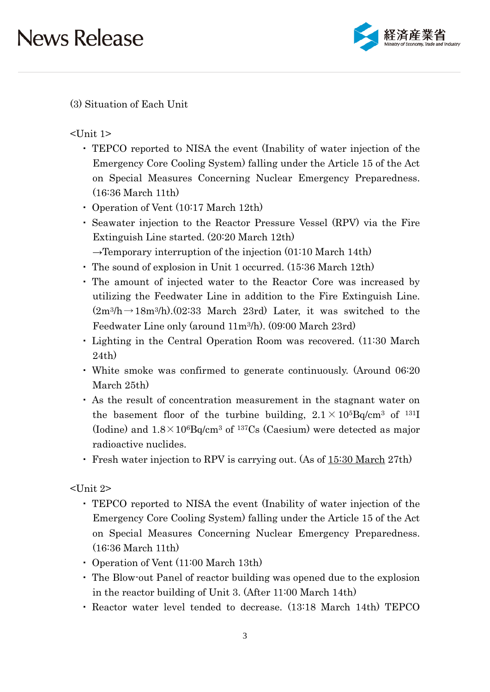

(3) Situation of Each Unit

 $\langle$ Unit 1>

- ・ TEPCO reported to NISA the event (Inability of water injection of the Emergency Core Cooling System) falling under the Article 15 of the Act on Special Measures Concerning Nuclear Emergency Preparedness. (16:36 March 11th)
- ・ Operation of Vent (10:17 March 12th)
- ・ Seawater injection to the Reactor Pressure Vessel (RPV) via the Fire Extinguish Line started. (20:20 March 12th)
- $\rightarrow$ Temporary interruption of the injection (01:10 March 14th)
- ・ The sound of explosion in Unit 1 occurred. (15:36 March 12th)
- ・ The amount of injected water to the Reactor Core was increased by utilizing the Feedwater Line in addition to the Fire Extinguish Line.  $(2m^3/h \rightarrow 18m^3/h)$ . (02:33 March 23rd) Later, it was switched to the Feedwater Line only (around 11m3/h). (09:00 March 23rd)
- ・ Lighting in the Central Operation Room was recovered. (11:30 March 24th)
- ・ White smoke was confirmed to generate continuously. (Around 06:20 March 25th)
- ・ As the result of concentration measurement in the stagnant water on the basement floor of the turbine building,  $2.1 \times 10^{5}$ Bq/cm<sup>3</sup> of <sup>131</sup>I (Iodine) and  $1.8 \times 10^6$ Bq/cm<sup>3</sup> of <sup>137</sup>Cs (Caesium) were detected as major radioactive nuclides.
- ・ Fresh water injection to RPV is carrying out. (As of 15:30 March 27th)

<Unit 2>

- ・ TEPCO reported to NISA the event (Inability of water injection of the Emergency Core Cooling System) falling under the Article 15 of the Act on Special Measures Concerning Nuclear Emergency Preparedness. (16:36 March 11th)
- ・ Operation of Vent (11:00 March 13th)
- ・ The Blow-out Panel of reactor building was opened due to the explosion in the reactor building of Unit 3. (After 11:00 March 14th)
- ・ Reactor water level tended to decrease. (13:18 March 14th) TEPCO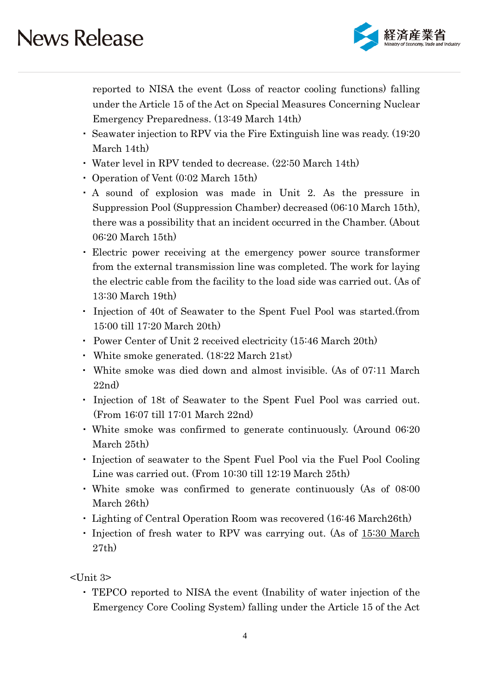

reported to NISA the event (Loss of reactor cooling functions) falling under the Article 15 of the Act on Special Measures Concerning Nuclear Emergency Preparedness. (13:49 March 14th)

- ・ Seawater injection to RPV via the Fire Extinguish line was ready. (19:20 March 14th)
- ・ Water level in RPV tended to decrease. (22:50 March 14th)
- ・ Operation of Vent (0:02 March 15th)
- ・ A sound of explosion was made in Unit 2. As the pressure in Suppression Pool (Suppression Chamber) decreased (06:10 March 15th), there was a possibility that an incident occurred in the Chamber. (About 06:20 March 15th)
- ・ Electric power receiving at the emergency power source transformer from the external transmission line was completed. The work for laying the electric cable from the facility to the load side was carried out. (As of 13:30 March 19th)
- ・ Injection of 40t of Seawater to the Spent Fuel Pool was started.(from 15:00 till 17:20 March 20th)
- ・ Power Center of Unit 2 received electricity (15:46 March 20th)
- ・ White smoke generated. (18:22 March 21st)
- ・ White smoke was died down and almost invisible. (As of 07:11 March 22nd)
- ・ Injection of 18t of Seawater to the Spent Fuel Pool was carried out. (From 16:07 till 17:01 March 22nd)
- ・ White smoke was confirmed to generate continuously. (Around 06:20 March 25th)
- ・ Injection of seawater to the Spent Fuel Pool via the Fuel Pool Cooling Line was carried out. (From 10:30 till 12:19 March 25th)
- ・ White smoke was confirmed to generate continuously (As of 08:00 March 26th)
- ・ Lighting of Central Operation Room was recovered (16:46 March26th)
- Injection of fresh water to RPV was carrying out. (As of 15:30 March 27th)

 $\langle$ Unit 3>

・ TEPCO reported to NISA the event (Inability of water injection of the Emergency Core Cooling System) falling under the Article 15 of the Act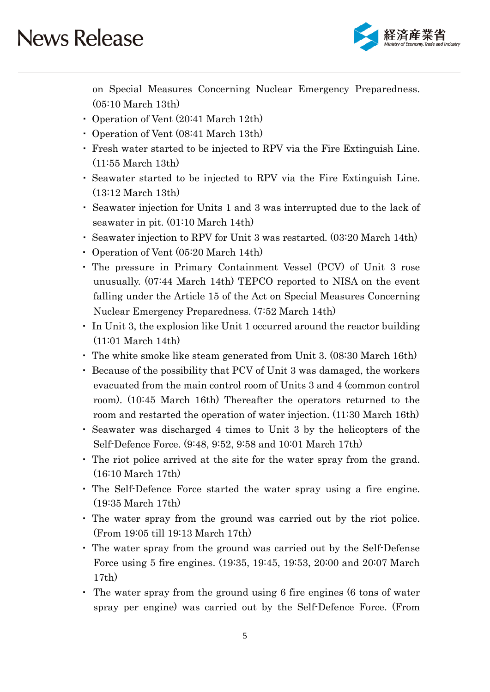

on Special Measures Concerning Nuclear Emergency Preparedness. (05:10 March 13th)

- ・ Operation of Vent (20:41 March 12th)
- ・ Operation of Vent (08:41 March 13th)
- ・ Fresh water started to be injected to RPV via the Fire Extinguish Line. (11:55 March 13th)
- ・ Seawater started to be injected to RPV via the Fire Extinguish Line. (13:12 March 13th)
- ・ Seawater injection for Units 1 and 3 was interrupted due to the lack of seawater in pit. (01:10 March 14th)
- ・ Seawater injection to RPV for Unit 3 was restarted. (03:20 March 14th)
- ・ Operation of Vent (05:20 March 14th)
- ・ The pressure in Primary Containment Vessel (PCV) of Unit 3 rose unusually. (07:44 March 14th) TEPCO reported to NISA on the event falling under the Article 15 of the Act on Special Measures Concerning Nuclear Emergency Preparedness. (7:52 March 14th)
- ・ In Unit 3, the explosion like Unit 1 occurred around the reactor building (11:01 March 14th)
- ・ The white smoke like steam generated from Unit 3. (08:30 March 16th)
- ・ Because of the possibility that PCV of Unit 3 was damaged, the workers evacuated from the main control room of Units 3 and 4 (common control room). (10:45 March 16th) Thereafter the operators returned to the room and restarted the operation of water injection. (11:30 March 16th)
- ・ Seawater was discharged 4 times to Unit 3 by the helicopters of the Self-Defence Force. (9:48, 9:52, 9:58 and 10:01 March 17th)
- ・ The riot police arrived at the site for the water spray from the grand. (16:10 March 17th)
- ・ The Self-Defence Force started the water spray using a fire engine. (19:35 March 17th)
- ・ The water spray from the ground was carried out by the riot police. (From 19:05 till 19:13 March 17th)
- ・ The water spray from the ground was carried out by the Self-Defense Force using 5 fire engines. (19:35, 19:45, 19:53, 20:00 and 20:07 March 17th)
- ・ The water spray from the ground using 6 fire engines (6 tons of water spray per engine) was carried out by the Self-Defence Force. (From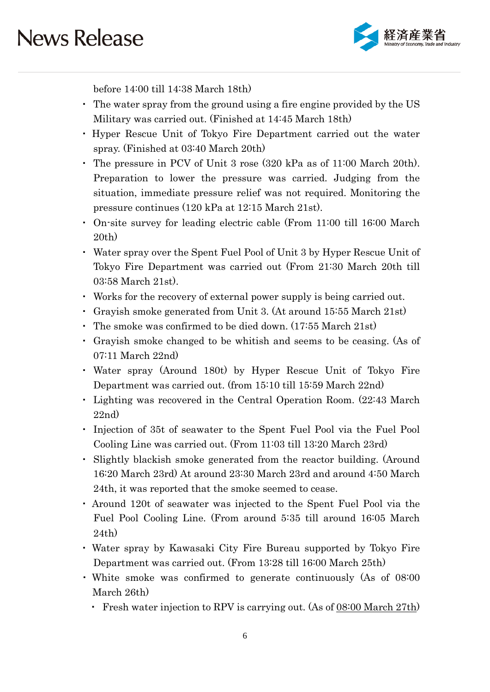

before 14:00 till 14:38 March 18th)

- ・ The water spray from the ground using a fire engine provided by the US Military was carried out. (Finished at 14:45 March 18th)
- ・ Hyper Rescue Unit of Tokyo Fire Department carried out the water spray. (Finished at 03:40 March 20th)
- ・ The pressure in PCV of Unit 3 rose (320 kPa as of 11:00 March 20th). Preparation to lower the pressure was carried. Judging from the situation, immediate pressure relief was not required. Monitoring the pressure continues (120 kPa at 12:15 March 21st).
- ・ On-site survey for leading electric cable (From 11:00 till 16:00 March 20th)
- ・ Water spray over the Spent Fuel Pool of Unit 3 by Hyper Rescue Unit of Tokyo Fire Department was carried out (From 21:30 March 20th till 03:58 March 21st).
- ・ Works for the recovery of external power supply is being carried out.
- ・ Grayish smoke generated from Unit 3. (At around 15:55 March 21st)
- ・ The smoke was confirmed to be died down. (17:55 March 21st)
- ・ Grayish smoke changed to be whitish and seems to be ceasing. (As of 07:11 March 22nd)
- ・ Water spray (Around 180t) by Hyper Rescue Unit of Tokyo Fire Department was carried out. (from 15:10 till 15:59 March 22nd)
- ・ Lighting was recovered in the Central Operation Room. (22:43 March 22nd)
- ・ Injection of 35t of seawater to the Spent Fuel Pool via the Fuel Pool Cooling Line was carried out. (From 11:03 till 13:20 March 23rd)
- ・ Slightly blackish smoke generated from the reactor building. (Around 16:20 March 23rd) At around 23:30 March 23rd and around 4:50 March 24th, it was reported that the smoke seemed to cease.
- ・ Around 120t of seawater was injected to the Spent Fuel Pool via the Fuel Pool Cooling Line. (From around 5:35 till around 16:05 March 24th)
- ・ Water spray by Kawasaki City Fire Bureau supported by Tokyo Fire Department was carried out. (From 13:28 till 16:00 March 25th)
- ・ White smoke was confirmed to generate continuously (As of 08:00 March 26th)
	- ・ Fresh water injection to RPV is carrying out. (As of 08:00 March 27th)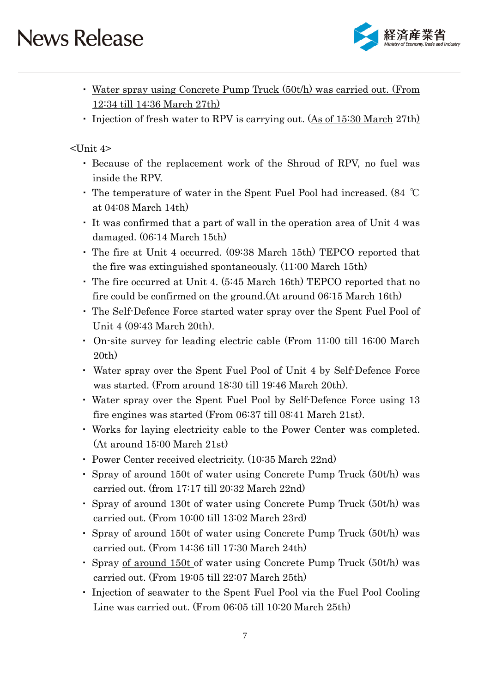

- ・ Water spray using Concrete Pump Truck (50t/h) was carried out. (From 12:34 till 14:36 March 27th)
- Injection of fresh water to RPV is carrying out. (As of 15:30 March 27th)

### <Unit 4>

- ・ Because of the replacement work of the Shroud of RPV, no fuel was inside the RPV.
- ・ The temperature of water in the Spent Fuel Pool had increased. (84 ℃ at 04:08 March 14th)
- ・ It was confirmed that a part of wall in the operation area of Unit 4 was damaged. (06:14 March 15th)
- ・ The fire at Unit 4 occurred. (09:38 March 15th) TEPCO reported that the fire was extinguished spontaneously. (11:00 March 15th)
- ・ The fire occurred at Unit 4. (5:45 March 16th) TEPCO reported that no fire could be confirmed on the ground.(At around 06:15 March 16th)
- ・ The Self-Defence Force started water spray over the Spent Fuel Pool of Unit 4 (09:43 March 20th).
- ・ On-site survey for leading electric cable (From 11:00 till 16:00 March 20th)
- ・ Water spray over the Spent Fuel Pool of Unit 4 by Self-Defence Force was started. (From around 18:30 till 19:46 March 20th).
- ・ Water spray over the Spent Fuel Pool by Self-Defence Force using 13 fire engines was started (From 06:37 till 08:41 March 21st).
- ・ Works for laying electricity cable to the Power Center was completed. (At around 15:00 March 21st)
- Power Center received electricity. (10:35 March 22nd)
- ・ Spray of around 150t of water using Concrete Pump Truck (50t/h) was carried out. (from 17:17 till 20:32 March 22nd)
- ・ Spray of around 130t of water using Concrete Pump Truck (50t/h) was carried out. (From 10:00 till 13:02 March 23rd)
- ・ Spray of around 150t of water using Concrete Pump Truck (50t/h) was carried out. (From 14:36 till 17:30 March 24th)
- ・ Spray of around 150t of water using Concrete Pump Truck (50t/h) was carried out. (From 19:05 till 22:07 March 25th)
- ・ Injection of seawater to the Spent Fuel Pool via the Fuel Pool Cooling Line was carried out. (From 06:05 till 10:20 March 25th)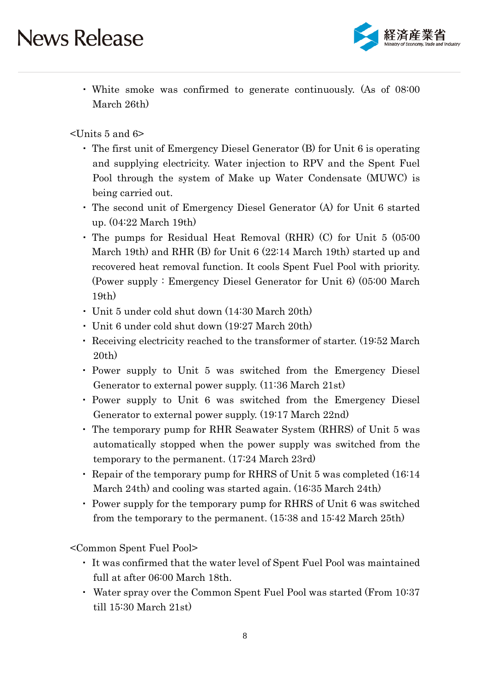

・ White smoke was confirmed to generate continuously. (As of 08:00 March 26th)

 $\leq$ Units 5 and 6>

- ・ The first unit of Emergency Diesel Generator (B) for Unit 6 is operating and supplying electricity. Water injection to RPV and the Spent Fuel Pool through the system of Make up Water Condensate (MUWC) is being carried out.
- ・ The second unit of Emergency Diesel Generator (A) for Unit 6 started up. (04:22 March 19th)
- ・ The pumps for Residual Heat Removal (RHR) (C) for Unit 5 (05:00 March 19th) and RHR (B) for Unit 6 (22:14 March 19th) started up and recovered heat removal function. It cools Spent Fuel Pool with priority. (Power supply : Emergency Diesel Generator for Unit 6) (05:00 March 19th)
- ・ Unit 5 under cold shut down (14:30 March 20th)
- ・ Unit 6 under cold shut down (19:27 March 20th)
- ・ Receiving electricity reached to the transformer of starter. (19:52 March 20th)
- ・ Power supply to Unit 5 was switched from the Emergency Diesel Generator to external power supply. (11:36 March 21st)
- ・ Power supply to Unit 6 was switched from the Emergency Diesel Generator to external power supply. (19:17 March 22nd)
- ・ The temporary pump for RHR Seawater System (RHRS) of Unit 5 was automatically stopped when the power supply was switched from the temporary to the permanent. (17:24 March 23rd)
- ・ Repair of the temporary pump for RHRS of Unit 5 was completed (16:14 March 24th) and cooling was started again. (16:35 March 24th)
- ・ Power supply for the temporary pump for RHRS of Unit 6 was switched from the temporary to the permanent. (15:38 and 15:42 March 25th)

<Common Spent Fuel Pool>

- ・ It was confirmed that the water level of Spent Fuel Pool was maintained full at after 06:00 March 18th.
- ・ Water spray over the Common Spent Fuel Pool was started (From 10:37 till 15:30 March 21st)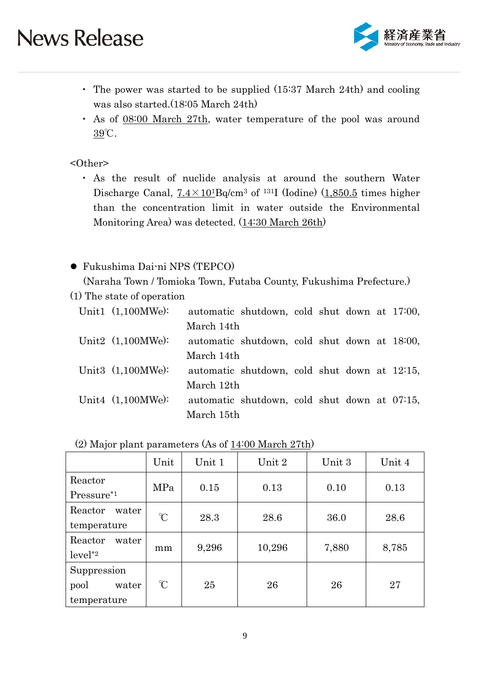

- ・ The power was started to be supplied (15:37 March 24th) and cooling was also started.(18:05 March 24th)
- ・ As of 08:00 March 27th, water temperature of the pool was around 39℃.

#### <Other>

・ As the result of nuclide analysis at around the southern Water Discharge Canal,  $7.4 \times 10^{1}$ Bq/cm<sup>3</sup> of <sup>131</sup>I (Iodine) (1,850.5 times higher than the concentration limit in water outside the Environmental Monitoring Area) was detected. (14:30 March 26th)

#### Fukushima Dai-ni NPS (TEPCO)

(Naraha Town / Tomioka Town, Futaba County, Fukushima Prefecture.)

(1) The state of operation

| Unit1 $(1,100MWe)$ : |            | automatic shutdown, cold shut down at 17:00, |  |  |  |
|----------------------|------------|----------------------------------------------|--|--|--|
|                      | March 14th |                                              |  |  |  |
| Unit2 $(1,100MWe)$ : |            | automatic shutdown, cold shut down at 18:00, |  |  |  |
|                      | March 14th |                                              |  |  |  |
| Unit3 $(1,100MWe)$ : |            | automatic shutdown, cold shut down at 12:15, |  |  |  |
|                      | March 12th |                                              |  |  |  |
| Unit4 $(1,100MWe)$ : |            | automatic shutdown, cold shut down at 07:15, |  |  |  |
|                      | March 15th |                                              |  |  |  |

| (2) Major plant parameters (As of $14:00$ March $27th$ ) |  |
|----------------------------------------------------------|--|
|----------------------------------------------------------|--|

|                                   | Unit                 | Unit 1 | Unit 2 | Unit 3 | Unit 4 |  |
|-----------------------------------|----------------------|--------|--------|--------|--------|--|
| Reactor<br>Pressure <sup>*1</sup> | MPa                  | 0.15   | 0.13   | 0.10   | 0.13   |  |
|                                   |                      |        |        |        |        |  |
| Reactor<br>water                  | $\mathcal{C}$        | 28.3   | 28.6   | 36.0   | 28.6   |  |
| temperature                       |                      |        |        |        |        |  |
| Reactor<br>water                  |                      |        |        |        |        |  |
| $level^{\ast 2}$                  | mm                   | 9,296  | 10,296 | 7,880  | 8,785  |  |
| Suppression                       |                      |        |        |        |        |  |
| pool<br>water                     | $\mathrm{C}^{\circ}$ | 25     | 26     | 26     | 27     |  |
| temperature                       |                      |        |        |        |        |  |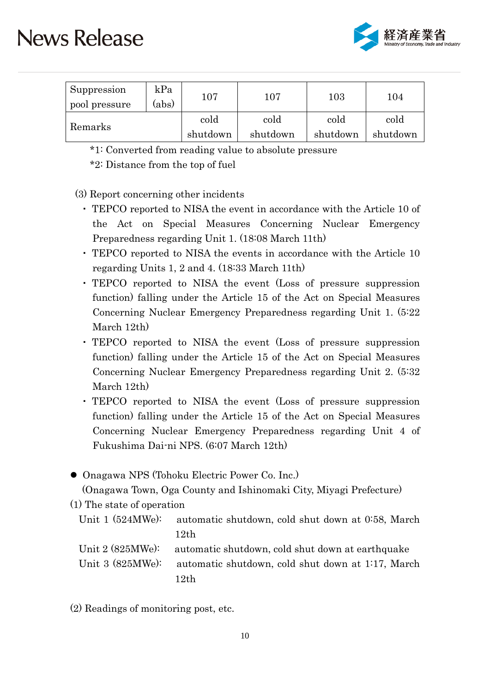

| Suppression<br>pool pressure | kPa<br>(abs) | $107\,$          | $107\,$          | 103              | 104              |
|------------------------------|--------------|------------------|------------------|------------------|------------------|
| Remarks                      |              | cold<br>shutdown | cold<br>shutdown | cold<br>shutdown | cold<br>shutdown |

\*1: Converted from reading value to absolute pressure

\*2: Distance from the top of fuel

### (3) Report concerning other incidents

- ・ TEPCO reported to NISA the event in accordance with the Article 10 of the Act on Special Measures Concerning Nuclear Emergency Preparedness regarding Unit 1. (18:08 March 11th)
- ・ TEPCO reported to NISA the events in accordance with the Article 10 regarding Units 1, 2 and 4. (18:33 March 11th)
- ・ TEPCO reported to NISA the event (Loss of pressure suppression function) falling under the Article 15 of the Act on Special Measures Concerning Nuclear Emergency Preparedness regarding Unit 1. (5:22 March 12th)
- ・ TEPCO reported to NISA the event (Loss of pressure suppression function) falling under the Article 15 of the Act on Special Measures Concerning Nuclear Emergency Preparedness regarding Unit 2. (5:32 March 12th)
- ・ TEPCO reported to NISA the event (Loss of pressure suppression function) falling under the Article 15 of the Act on Special Measures Concerning Nuclear Emergency Preparedness regarding Unit 4 of Fukushima Dai-ni NPS. (6:07 March 12th)
- Onagawa NPS (Tohoku Electric Power Co. Inc.)

(Onagawa Town, Oga County and Ishinomaki City, Miyagi Prefecture)

- (1) The state of operation
	- Unit 1 (524MWe): automatic shutdown, cold shut down at 0:58, March 12th Unit 2 (825MWe): automatic shutdown, cold shut down at earthquake Unit 3 (825MWe): automatic shutdown, cold shut down at 1:17, March 12th

(2) Readings of monitoring post, etc.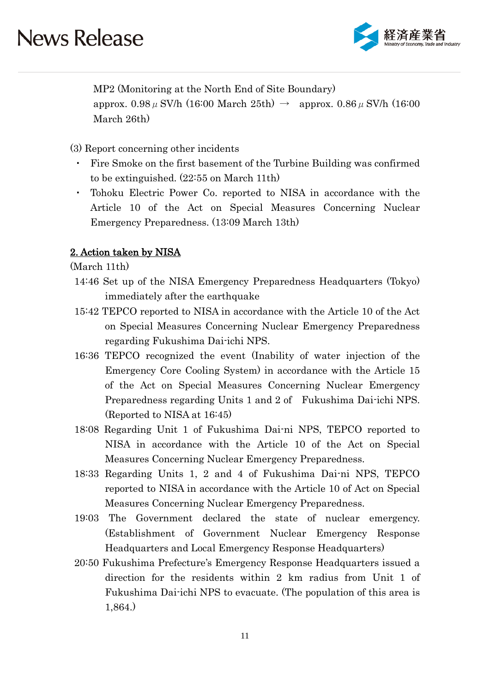

MP2 (Monitoring at the North End of Site Boundary) approx.  $0.98 \mu$  SV/h (16:00 March 25th)  $\rightarrow$  approx.  $0.86 \mu$  SV/h (16:00 March 26th)

(3) Report concerning other incidents

- Fire Smoke on the first basement of the Turbine Building was confirmed to be extinguished. (22:55 on March 11th)
- Tohoku Electric Power Co. reported to NISA in accordance with the Article 10 of the Act on Special Measures Concerning Nuclear Emergency Preparedness. (13:09 March 13th)

### 2. Action taken by NISA

(March 11th)

- 14:46 Set up of the NISA Emergency Preparedness Headquarters (Tokyo) immediately after the earthquake
- 15:42 TEPCO reported to NISA in accordance with the Article 10 of the Act on Special Measures Concerning Nuclear Emergency Preparedness regarding Fukushima Dai-ichi NPS.
- 16:36 TEPCO recognized the event (Inability of water injection of the Emergency Core Cooling System) in accordance with the Article 15 of the Act on Special Measures Concerning Nuclear Emergency Preparedness regarding Units 1 and 2 of Fukushima Dai-ichi NPS. (Reported to NISA at 16:45)
- 18:08 Regarding Unit 1 of Fukushima Dai-ni NPS, TEPCO reported to NISA in accordance with the Article 10 of the Act on Special Measures Concerning Nuclear Emergency Preparedness.
- 18:33 Regarding Units 1, 2 and 4 of Fukushima Dai-ni NPS, TEPCO reported to NISA in accordance with the Article 10 of Act on Special Measures Concerning Nuclear Emergency Preparedness.
- 19:03 The Government declared the state of nuclear emergency. (Establishment of Government Nuclear Emergency Response Headquarters and Local Emergency Response Headquarters)
- 20:50 Fukushima Prefecture's Emergency Response Headquarters issued a direction for the residents within 2 km radius from Unit 1 of Fukushima Dai-ichi NPS to evacuate. (The population of this area is 1,864.)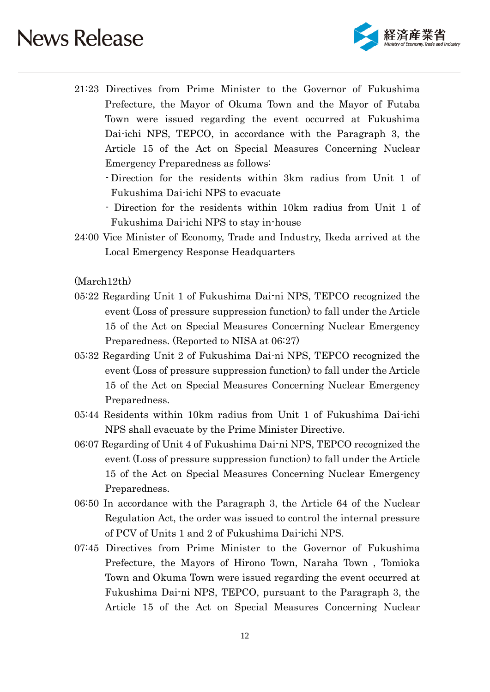

- 21:23 Directives from Prime Minister to the Governor of Fukushima Prefecture, the Mayor of Okuma Town and the Mayor of Futaba Town were issued regarding the event occurred at Fukushima Dai-ichi NPS, TEPCO, in accordance with the Paragraph 3, the Article 15 of the Act on Special Measures Concerning Nuclear Emergency Preparedness as follows:
	- Direction for the residents within 3km radius from Unit 1 of Fukushima Dai-ichi NPS to evacuate
	- Direction for the residents within 10km radius from Unit 1 of Fukushima Dai-ichi NPS to stay in-house
- 24:00 Vice Minister of Economy, Trade and Industry, Ikeda arrived at the Local Emergency Response Headquarters

(March12th)

- 05:22 Regarding Unit 1 of Fukushima Dai-ni NPS, TEPCO recognized the event (Loss of pressure suppression function) to fall under the Article 15 of the Act on Special Measures Concerning Nuclear Emergency Preparedness. (Reported to NISA at 06:27)
- 05:32 Regarding Unit 2 of Fukushima Dai-ni NPS, TEPCO recognized the event (Loss of pressure suppression function) to fall under the Article 15 of the Act on Special Measures Concerning Nuclear Emergency Preparedness.
- 05:44 Residents within 10km radius from Unit 1 of Fukushima Dai-ichi NPS shall evacuate by the Prime Minister Directive.
- 06:07 Regarding of Unit 4 of Fukushima Dai-ni NPS, TEPCO recognized the event (Loss of pressure suppression function) to fall under the Article 15 of the Act on Special Measures Concerning Nuclear Emergency Preparedness.
- 06:50 In accordance with the Paragraph 3, the Article 64 of the Nuclear Regulation Act, the order was issued to control the internal pressure of PCV of Units 1 and 2 of Fukushima Dai-ichi NPS.
- 07:45 Directives from Prime Minister to the Governor of Fukushima Prefecture, the Mayors of Hirono Town, Naraha Town , Tomioka Town and Okuma Town were issued regarding the event occurred at Fukushima Dai-ni NPS, TEPCO, pursuant to the Paragraph 3, the Article 15 of the Act on Special Measures Concerning Nuclear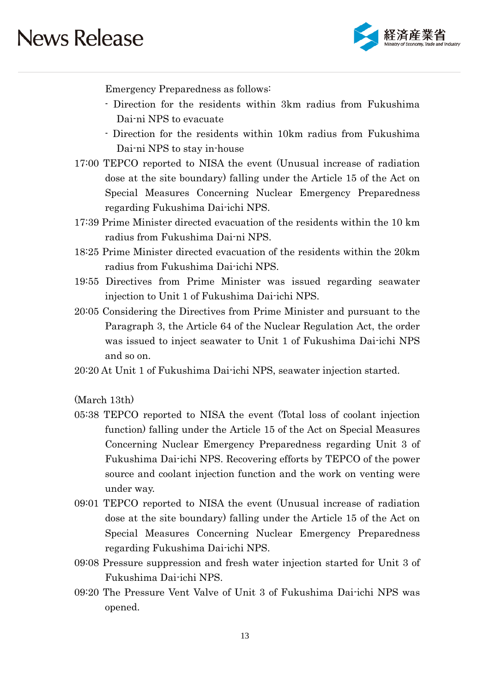

Emergency Preparedness as follows:

- Direction for the residents within 3km radius from Fukushima Dai-ni NPS to evacuate
- Direction for the residents within 10km radius from Fukushima Dai-ni NPS to stay in-house
- 17:00 TEPCO reported to NISA the event (Unusual increase of radiation dose at the site boundary) falling under the Article 15 of the Act on Special Measures Concerning Nuclear Emergency Preparedness regarding Fukushima Dai-ichi NPS.
- 17:39 Prime Minister directed evacuation of the residents within the 10 km radius from Fukushima Dai-ni NPS.
- 18:25 Prime Minister directed evacuation of the residents within the 20km radius from Fukushima Dai-ichi NPS.
- 19:55 Directives from Prime Minister was issued regarding seawater injection to Unit 1 of Fukushima Dai-ichi NPS.
- 20:05 Considering the Directives from Prime Minister and pursuant to the Paragraph 3, the Article 64 of the Nuclear Regulation Act, the order was issued to inject seawater to Unit 1 of Fukushima Dai-ichi NPS and so on.
- 20:20 At Unit 1 of Fukushima Dai-ichi NPS, seawater injection started.

(March 13th)

- 05:38 TEPCO reported to NISA the event (Total loss of coolant injection function) falling under the Article 15 of the Act on Special Measures Concerning Nuclear Emergency Preparedness regarding Unit 3 of Fukushima Dai-ichi NPS. Recovering efforts by TEPCO of the power source and coolant injection function and the work on venting were under way.
- 09:01 TEPCO reported to NISA the event (Unusual increase of radiation dose at the site boundary) falling under the Article 15 of the Act on Special Measures Concerning Nuclear Emergency Preparedness regarding Fukushima Dai-ichi NPS.
- 09:08 Pressure suppression and fresh water injection started for Unit 3 of Fukushima Dai-ichi NPS.
- 09:20 The Pressure Vent Valve of Unit 3 of Fukushima Dai-ichi NPS was opened.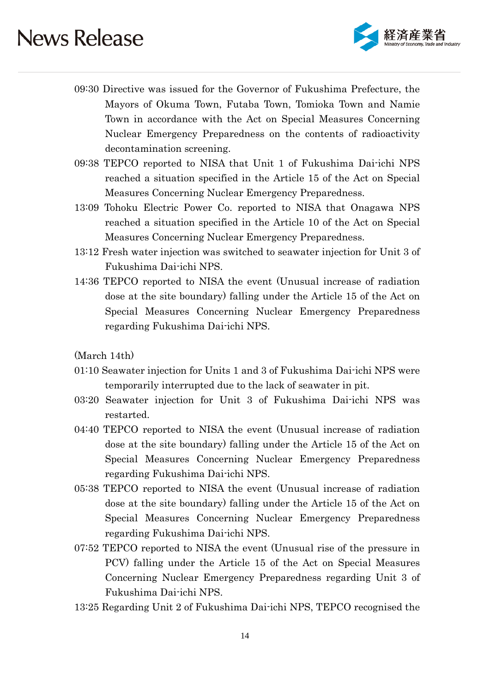

- 09:30 Directive was issued for the Governor of Fukushima Prefecture, the Mayors of Okuma Town, Futaba Town, Tomioka Town and Namie Town in accordance with the Act on Special Measures Concerning Nuclear Emergency Preparedness on the contents of radioactivity decontamination screening.
- 09:38 TEPCO reported to NISA that Unit 1 of Fukushima Dai-ichi NPS reached a situation specified in the Article 15 of the Act on Special Measures Concerning Nuclear Emergency Preparedness.
- 13:09 Tohoku Electric Power Co. reported to NISA that Onagawa NPS reached a situation specified in the Article 10 of the Act on Special Measures Concerning Nuclear Emergency Preparedness.
- 13:12 Fresh water injection was switched to seawater injection for Unit 3 of Fukushima Dai-ichi NPS.
- 14:36 TEPCO reported to NISA the event (Unusual increase of radiation dose at the site boundary) falling under the Article 15 of the Act on Special Measures Concerning Nuclear Emergency Preparedness regarding Fukushima Dai-ichi NPS.

(March 14th)

- 01:10 Seawater injection for Units 1 and 3 of Fukushima Dai-ichi NPS were temporarily interrupted due to the lack of seawater in pit.
- 03:20 Seawater injection for Unit 3 of Fukushima Dai-ichi NPS was restarted.
- 04:40 TEPCO reported to NISA the event (Unusual increase of radiation dose at the site boundary) falling under the Article 15 of the Act on Special Measures Concerning Nuclear Emergency Preparedness regarding Fukushima Dai-ichi NPS.
- 05:38 TEPCO reported to NISA the event (Unusual increase of radiation dose at the site boundary) falling under the Article 15 of the Act on Special Measures Concerning Nuclear Emergency Preparedness regarding Fukushima Dai-ichi NPS.
- 07:52 TEPCO reported to NISA the event (Unusual rise of the pressure in PCV) falling under the Article 15 of the Act on Special Measures Concerning Nuclear Emergency Preparedness regarding Unit 3 of Fukushima Dai-ichi NPS.
- 13:25 Regarding Unit 2 of Fukushima Dai-ichi NPS, TEPCO recognised the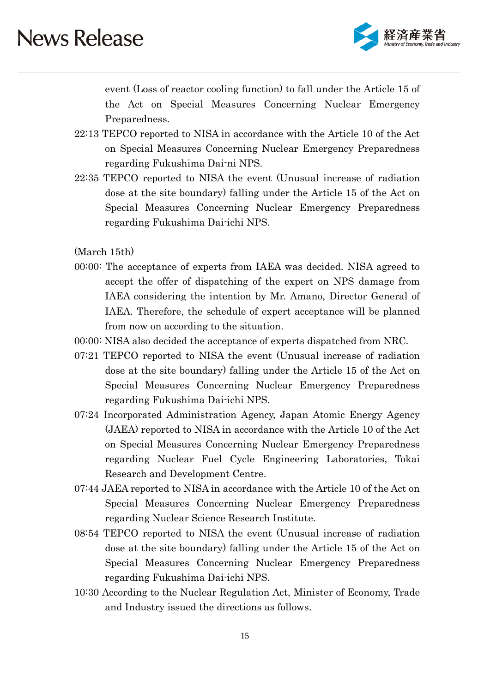

event (Loss of reactor cooling function) to fall under the Article 15 of the Act on Special Measures Concerning Nuclear Emergency Preparedness.

- 22:13 TEPCO reported to NISA in accordance with the Article 10 of the Act on Special Measures Concerning Nuclear Emergency Preparedness regarding Fukushima Dai-ni NPS.
- 22:35 TEPCO reported to NISA the event (Unusual increase of radiation dose at the site boundary) falling under the Article 15 of the Act on Special Measures Concerning Nuclear Emergency Preparedness regarding Fukushima Dai-ichi NPS.

(March 15th)

- 00:00: The acceptance of experts from IAEA was decided. NISA agreed to accept the offer of dispatching of the expert on NPS damage from IAEA considering the intention by Mr. Amano, Director General of IAEA. Therefore, the schedule of expert acceptance will be planned from now on according to the situation.
- 00:00: NISA also decided the acceptance of experts dispatched from NRC.
- 07:21 TEPCO reported to NISA the event (Unusual increase of radiation dose at the site boundary) falling under the Article 15 of the Act on Special Measures Concerning Nuclear Emergency Preparedness regarding Fukushima Dai-ichi NPS.
- 07:24 Incorporated Administration Agency, Japan Atomic Energy Agency (JAEA) reported to NISA in accordance with the Article 10 of the Act on Special Measures Concerning Nuclear Emergency Preparedness regarding Nuclear Fuel Cycle Engineering Laboratories, Tokai Research and Development Centre.
- 07:44 JAEA reported to NISA in accordance with the Article 10 of the Act on Special Measures Concerning Nuclear Emergency Preparedness regarding Nuclear Science Research Institute.
- 08:54 TEPCO reported to NISA the event (Unusual increase of radiation dose at the site boundary) falling under the Article 15 of the Act on Special Measures Concerning Nuclear Emergency Preparedness regarding Fukushima Dai-ichi NPS.
- 10:30 According to the Nuclear Regulation Act, Minister of Economy, Trade and Industry issued the directions as follows.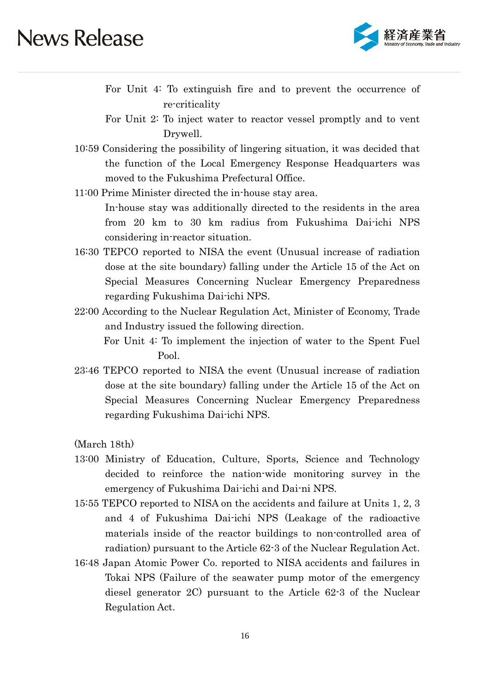

For Unit 4: To extinguish fire and to prevent the occurrence of re-criticality

For Unit 2: To inject water to reactor vessel promptly and to vent Drywell.

- 10:59 Considering the possibility of lingering situation, it was decided that the function of the Local Emergency Response Headquarters was moved to the Fukushima Prefectural Office.
- 11:00 Prime Minister directed the in-house stay area.

In-house stay was additionally directed to the residents in the area from 20 km to 30 km radius from Fukushima Dai-ichi NPS considering in-reactor situation.

- 16:30 TEPCO reported to NISA the event (Unusual increase of radiation dose at the site boundary) falling under the Article 15 of the Act on Special Measures Concerning Nuclear Emergency Preparedness regarding Fukushima Dai-ichi NPS.
- 22:00 According to the Nuclear Regulation Act, Minister of Economy, Trade and Industry issued the following direction.

For Unit 4: To implement the injection of water to the Spent Fuel Pool.

23:46 TEPCO reported to NISA the event (Unusual increase of radiation dose at the site boundary) falling under the Article 15 of the Act on Special Measures Concerning Nuclear Emergency Preparedness regarding Fukushima Dai-ichi NPS.

(March 18th)

- 13:00 Ministry of Education, Culture, Sports, Science and Technology decided to reinforce the nation-wide monitoring survey in the emergency of Fukushima Dai-ichi and Dai-ni NPS.
- 15:55 TEPCO reported to NISA on the accidents and failure at Units 1, 2, 3 and 4 of Fukushima Dai-ichi NPS (Leakage of the radioactive materials inside of the reactor buildings to non-controlled area of radiation) pursuant to the Article 62-3 of the Nuclear Regulation Act.
- 16:48 Japan Atomic Power Co. reported to NISA accidents and failures in Tokai NPS (Failure of the seawater pump motor of the emergency diesel generator 2C) pursuant to the Article 62-3 of the Nuclear Regulation Act.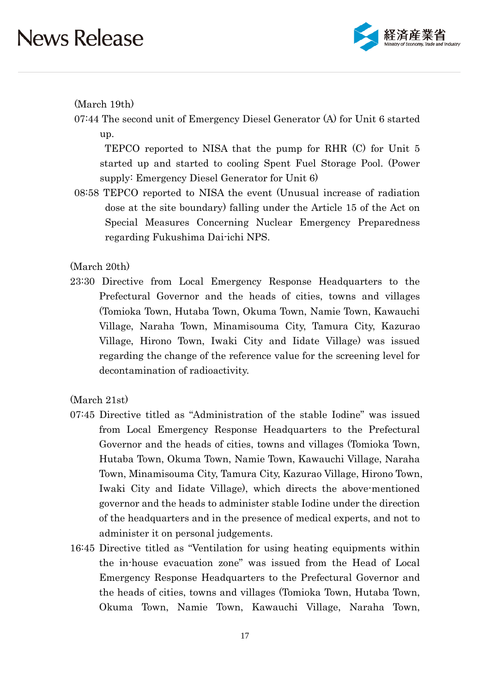

(March 19th)

07:44 The second unit of Emergency Diesel Generator (A) for Unit 6 started up.

TEPCO reported to NISA that the pump for RHR (C) for Unit 5 started up and started to cooling Spent Fuel Storage Pool. (Power supply: Emergency Diesel Generator for Unit 6)

08:58 TEPCO reported to NISA the event (Unusual increase of radiation dose at the site boundary) falling under the Article 15 of the Act on Special Measures Concerning Nuclear Emergency Preparedness regarding Fukushima Dai-ichi NPS.

(March 20th)

23:30 Directive from Local Emergency Response Headquarters to the Prefectural Governor and the heads of cities, towns and villages (Tomioka Town, Hutaba Town, Okuma Town, Namie Town, Kawauchi Village, Naraha Town, Minamisouma City, Tamura City, Kazurao Village, Hirono Town, Iwaki City and Iidate Village) was issued regarding the change of the reference value for the screening level for decontamination of radioactivity.

(March 21st)

- 07:45 Directive titled as "Administration of the stable Iodine" was issued from Local Emergency Response Headquarters to the Prefectural Governor and the heads of cities, towns and villages (Tomioka Town, Hutaba Town, Okuma Town, Namie Town, Kawauchi Village, Naraha Town, Minamisouma City, Tamura City, Kazurao Village, Hirono Town, Iwaki City and Iidate Village), which directs the above-mentioned governor and the heads to administer stable Iodine under the direction of the headquarters and in the presence of medical experts, and not to administer it on personal judgements.
- 16:45 Directive titled as "Ventilation for using heating equipments within the in-house evacuation zone" was issued from the Head of Local Emergency Response Headquarters to the Prefectural Governor and the heads of cities, towns and villages (Tomioka Town, Hutaba Town, Okuma Town, Namie Town, Kawauchi Village, Naraha Town,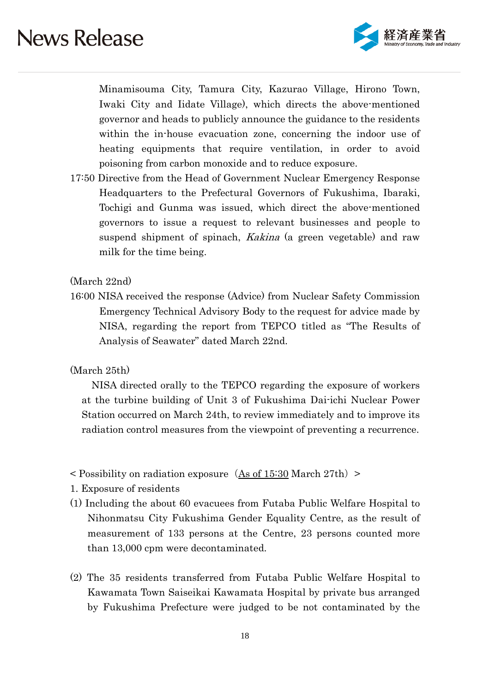

Minamisouma City, Tamura City, Kazurao Village, Hirono Town, Iwaki City and Iidate Village), which directs the above-mentioned governor and heads to publicly announce the guidance to the residents within the in-house evacuation zone, concerning the indoor use of heating equipments that require ventilation, in order to avoid poisoning from carbon monoxide and to reduce exposure.

17:50 Directive from the Head of Government Nuclear Emergency Response Headquarters to the Prefectural Governors of Fukushima, Ibaraki, Tochigi and Gunma was issued, which direct the above-mentioned governors to issue a request to relevant businesses and people to suspend shipment of spinach, *Kakina* (a green vegetable) and raw milk for the time being.

#### (March 22nd)

16:00 NISA received the response (Advice) from Nuclear Safety Commission Emergency Technical Advisory Body to the request for advice made by NISA, regarding the report from TEPCO titled as "The Results of Analysis of Seawater" dated March 22nd.

#### (March 25th)

NISA directed orally to the TEPCO regarding the exposure of workers at the turbine building of Unit 3 of Fukushima Dai-ichi Nuclear Power Station occurred on March 24th, to review immediately and to improve its radiation control measures from the viewpoint of preventing a recurrence.

 $\leq$  Possibility on radiation exposure (As of 15:30 March 27th)  $\geq$ 

- 1. Exposure of residents
- (1) Including the about 60 evacuees from Futaba Public Welfare Hospital to Nihonmatsu City Fukushima Gender Equality Centre, as the result of measurement of 133 persons at the Centre, 23 persons counted more than 13,000 cpm were decontaminated.
- (2) The 35 residents transferred from Futaba Public Welfare Hospital to Kawamata Town Saiseikai Kawamata Hospital by private bus arranged by Fukushima Prefecture were judged to be not contaminated by the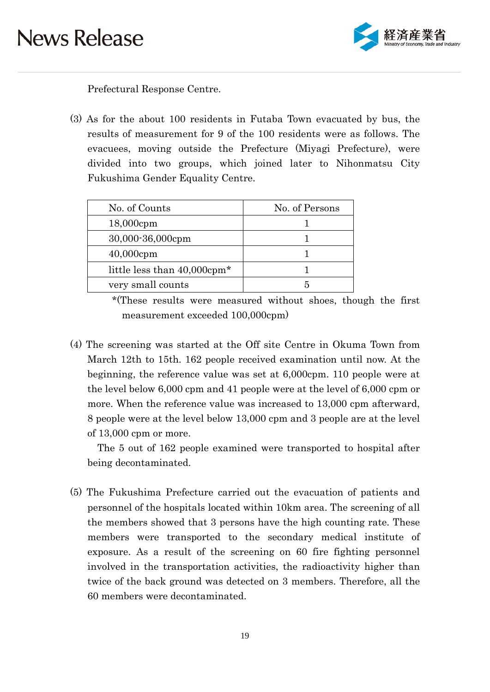

Prefectural Response Centre.

(3) As for the about 100 residents in Futaba Town evacuated by bus, the results of measurement for 9 of the 100 residents were as follows. The evacuees, moving outside the Prefecture (Miyagi Prefecture), were divided into two groups, which joined later to Nihonmatsu City Fukushima Gender Equality Centre.

| No. of Counts                           | No. of Persons |
|-----------------------------------------|----------------|
| 18,000cpm                               |                |
| 30,000-36,000cpm                        |                |
| $40,000$ cpm                            |                |
| little less than 40,000cpm <sup>*</sup> |                |
| very small counts                       |                |

 \*(These results were measured without shoes, though the first measurement exceeded 100,000cpm)

(4) The screening was started at the Off site Centre in Okuma Town from March 12th to 15th. 162 people received examination until now. At the beginning, the reference value was set at 6,000cpm. 110 people were at the level below 6,000 cpm and 41 people were at the level of 6,000 cpm or more. When the reference value was increased to 13,000 cpm afterward, 8 people were at the level below 13,000 cpm and 3 people are at the level of 13,000 cpm or more.

The 5 out of 162 people examined were transported to hospital after being decontaminated.

(5) The Fukushima Prefecture carried out the evacuation of patients and personnel of the hospitals located within 10km area. The screening of all the members showed that 3 persons have the high counting rate. These members were transported to the secondary medical institute of exposure. As a result of the screening on 60 fire fighting personnel involved in the transportation activities, the radioactivity higher than twice of the back ground was detected on 3 members. Therefore, all the 60 members were decontaminated.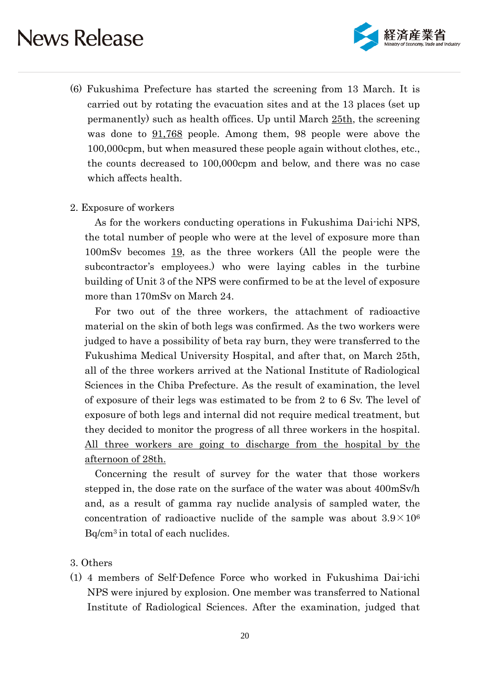

(6) Fukushima Prefecture has started the screening from 13 March. It is carried out by rotating the evacuation sites and at the 13 places (set up permanently) such as health offices. Up until March 25th, the screening was done to 91,768 people. Among them, 98 people were above the 100,000cpm, but when measured these people again without clothes, etc., the counts decreased to 100,000cpm and below, and there was no case which affects health.

#### 2. Exposure of workers

As for the workers conducting operations in Fukushima Dai-ichi NPS, the total number of people who were at the level of exposure more than 100mSv becomes 19, as the three workers (All the people were the subcontractor's employees.) who were laying cables in the turbine building of Unit 3 of the NPS were confirmed to be at the level of exposure more than 170mSv on March 24.

For two out of the three workers, the attachment of radioactive material on the skin of both legs was confirmed. As the two workers were judged to have a possibility of beta ray burn, they were transferred to the Fukushima Medical University Hospital, and after that, on March 25th, all of the three workers arrived at the National Institute of Radiological Sciences in the Chiba Prefecture. As the result of examination, the level of exposure of their legs was estimated to be from 2 to 6 Sv. The level of exposure of both legs and internal did not require medical treatment, but they decided to monitor the progress of all three workers in the hospital. All three workers are going to discharge from the hospital by the afternoon of 28th.

Concerning the result of survey for the water that those workers stepped in, the dose rate on the surface of the water was about 400mSv/h and, as a result of gamma ray nuclide analysis of sampled water, the concentration of radioactive nuclide of the sample was about  $3.9 \times 10^6$ Bq/cm3 in total of each nuclides.

#### 3. Others

(1) 4 members of Self-Defence Force who worked in Fukushima Dai-ichi NPS were injured by explosion. One member was transferred to National Institute of Radiological Sciences. After the examination, judged that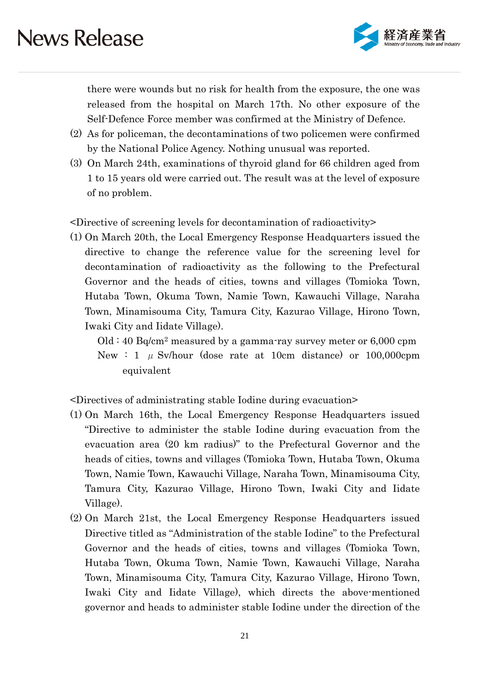

there were wounds but no risk for health from the exposure, the one was released from the hospital on March 17th. No other exposure of the Self-Defence Force member was confirmed at the Ministry of Defence.

- (2) As for policeman, the decontaminations of two policemen were confirmed by the National Police Agency. Nothing unusual was reported.
- (3) On March 24th, examinations of thyroid gland for 66 children aged from 1 to 15 years old were carried out. The result was at the level of exposure of no problem.

<Directive of screening levels for decontamination of radioactivity>

(1) On March 20th, the Local Emergency Response Headquarters issued the directive to change the reference value for the screening level for decontamination of radioactivity as the following to the Prefectural Governor and the heads of cities, towns and villages (Tomioka Town, Hutaba Town, Okuma Town, Namie Town, Kawauchi Village, Naraha Town, Minamisouma City, Tamura City, Kazurao Village, Hirono Town, Iwaki City and Iidate Village).

 $Old: 40 Bq/cm<sup>2</sup> measured by a gamma-ray survey meter or 6,000 rpm$ New : 1  $\mu$  Sv/hour (dose rate at 10cm distance) or 100,000cpm equivalent

<Directives of administrating stable Iodine during evacuation>

- (1) On March 16th, the Local Emergency Response Headquarters issued "Directive to administer the stable Iodine during evacuation from the evacuation area (20 km radius)" to the Prefectural Governor and the heads of cities, towns and villages (Tomioka Town, Hutaba Town, Okuma Town, Namie Town, Kawauchi Village, Naraha Town, Minamisouma City, Tamura City, Kazurao Village, Hirono Town, Iwaki City and Iidate Village).
- (2) On March 21st, the Local Emergency Response Headquarters issued Directive titled as "Administration of the stable Iodine" to the Prefectural Governor and the heads of cities, towns and villages (Tomioka Town, Hutaba Town, Okuma Town, Namie Town, Kawauchi Village, Naraha Town, Minamisouma City, Tamura City, Kazurao Village, Hirono Town, Iwaki City and Iidate Village), which directs the above-mentioned governor and heads to administer stable Iodine under the direction of the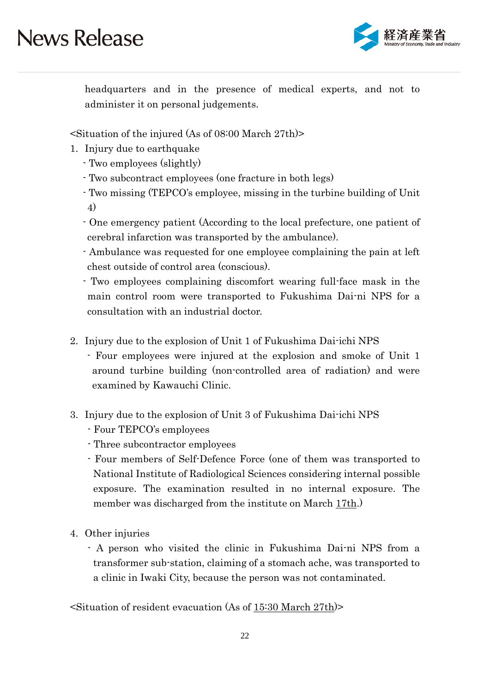

headquarters and in the presence of medical experts, and not to administer it on personal judgements.

<Situation of the injured (As of 08:00 March 27th)>

- 1. Injury due to earthquake
	- Two employees (slightly)
	- Two subcontract employees (one fracture in both legs)
	- Two missing (TEPCO's employee, missing in the turbine building of Unit 4)
	- One emergency patient (According to the local prefecture, one patient of cerebral infarction was transported by the ambulance).
	- Ambulance was requested for one employee complaining the pain at left chest outside of control area (conscious).
	- Two employees complaining discomfort wearing full-face mask in the main control room were transported to Fukushima Dai-ni NPS for a consultation with an industrial doctor.
- 2. Injury due to the explosion of Unit 1 of Fukushima Dai-ichi NPS
	- Four employees were injured at the explosion and smoke of Unit 1 around turbine building (non-controlled area of radiation) and were examined by Kawauchi Clinic.
- 3. Injury due to the explosion of Unit 3 of Fukushima Dai-ichi NPS
	- Four TEPCO's employees
	- Three subcontractor employees
	- Four members of Self-Defence Force (one of them was transported to National Institute of Radiological Sciences considering internal possible exposure. The examination resulted in no internal exposure. The member was discharged from the institute on March 17th.)
- 4. Other injuries
	- A person who visited the clinic in Fukushima Dai-ni NPS from a transformer sub-station, claiming of a stomach ache, was transported to a clinic in Iwaki City, because the person was not contaminated.

<Situation of resident evacuation (As of 15:30 March 27th)>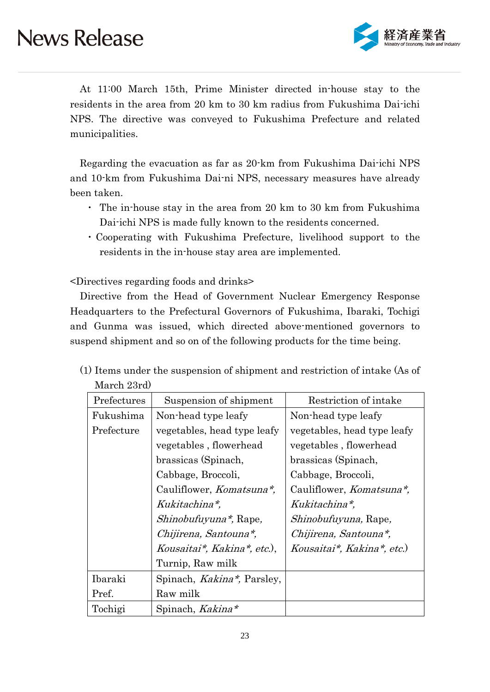

At 11:00 March 15th, Prime Minister directed in-house stay to the residents in the area from 20 km to 30 km radius from Fukushima Dai-ichi NPS. The directive was conveyed to Fukushima Prefecture and related municipalities.

Regarding the evacuation as far as 20-km from Fukushima Dai-ichi NPS and 10-km from Fukushima Dai-ni NPS, necessary measures have already been taken.

- ・ The in-house stay in the area from 20 km to 30 km from Fukushima Dai-ichi NPS is made fully known to the residents concerned.
- ・Cooperating with Fukushima Prefecture, livelihood support to the residents in the in-house stay area are implemented.

<Directives regarding foods and drinks>

Directive from the Head of Government Nuclear Emergency Response Headquarters to the Prefectural Governors of Fukushima, Ibaraki, Tochigi and Gunma was issued, which directed above-mentioned governors to suspend shipment and so on of the following products for the time being.

|  | (1) Items under the suspension of shipment and restriction of intake (As of |  |
|--|-----------------------------------------------------------------------------|--|
|  | March 23rd)                                                                 |  |

| Prefectures | Suspension of shipment             | Restriction of intake            |
|-------------|------------------------------------|----------------------------------|
| Fukushima   | Non-head type leafy                | Non-head type leafy              |
| Prefecture  | vegetables, head type leafy        | vegetables, head type leafy      |
|             | vegetables, flowerhead             | vegetables, flowerhead           |
|             | brassicas (Spinach,                | brassicas (Spinach,              |
|             | Cabbage, Broccoli,                 | Cabbage, Broccoli,               |
|             | Cauliflower, <i>Komatsuna*</i> ,   | Cauliflower, <i>Komatsuna*</i> , |
|             | Kukitachina*,                      | Kukitachina*,                    |
|             | <i>Shinobufuyuna*</i> , Rape,      | <i>Shinobufuyuna</i> , Rape,     |
|             | Chijirena, Santouna*,              | Chijirena, Santouna*,            |
|             | Kousaitai*, Kakina*, etc.),        | Kousaitai*, Kakina*, etc.)       |
|             | Turnip, Raw milk                   |                                  |
| Ibaraki     | Spinach, <i>Kakina*</i> , Parsley, |                                  |
| Pref.       | Raw milk                           |                                  |
| Tochigi     | Spinach, Kakina*                   |                                  |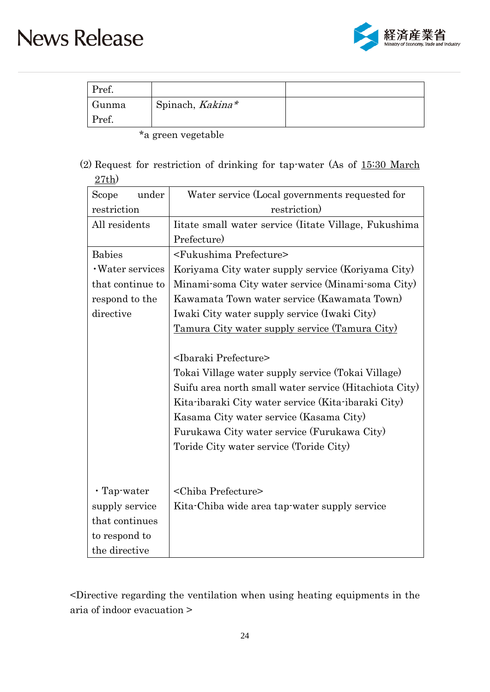

| Pref. |                  |  |
|-------|------------------|--|
| Gunma | Spinach, Kakina* |  |
| Pref. |                  |  |

\*a green vegetable

(2) Request for restriction of drinking for tap-water (As of 15:30 March 27th)

| under<br>Scope   | Water service (Local governments requested for         |
|------------------|--------------------------------------------------------|
| restriction      | restriction)                                           |
| All residents    | Iitate small water service (Iitate Village, Fukushima  |
|                  | Prefecture)                                            |
| <b>Babies</b>    | <fukushima prefecture=""></fukushima>                  |
| · Water services | Koriyama City water supply service (Koriyama City)     |
| that continue to | Minami-soma City water service (Minami-soma City)      |
| respond to the   | Kawamata Town water service (Kawamata Town)            |
| directive        | Iwaki City water supply service (Iwaki City)           |
|                  | <u>Tamura City water supply service (Tamura City)</u>  |
|                  |                                                        |
|                  | <ibaraki prefecture=""></ibaraki>                      |
|                  | Tokai Village water supply service (Tokai Village)     |
|                  | Suifu area north small water service (Hitachiota City) |
|                  | Kita-ibaraki City water service (Kita-ibaraki City)    |
|                  | Kasama City water service (Kasama City)                |
|                  | Furukawa City water service (Furukawa City)            |
|                  | Toride City water service (Toride City)                |
|                  |                                                        |
|                  |                                                        |
| · Tap-water      | <chiba prefecture=""></chiba>                          |
| supply service   | Kita-Chiba wide area tap-water supply service          |
| that continues   |                                                        |
| to respond to    |                                                        |
| the directive    |                                                        |

<Directive regarding the ventilation when using heating equipments in the aria of indoor evacuation >